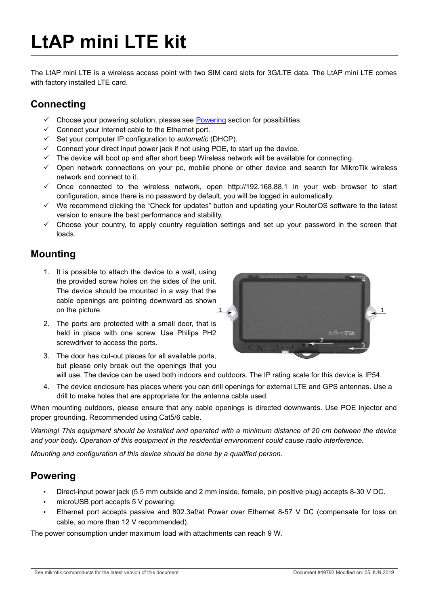# **LtAP mini LTE kit**

The LtAP mini LTE is a wireless access point with two SIM card slots for 3G/LTE data. The LtAP mini LTE comes with factory installed LTE card.

## **Connecting**

- Choose your powering solution, please see [Powering](#page-0-0) section for possibilities.
- $\checkmark$  Connect your Internet cable to the Ethernet port.
- Set your computer IP configuration to *automatic* (DHCP).
- $\checkmark$  Connect your direct input power jack if not using POE, to start up the device.
- $\checkmark$  The device will boot up and after short beep Wireless network will be available for connecting.
- $\checkmark$  Open network connections on your pc, mobile phone or other device and search for MikroTik wireless network and connect to it.
- $\checkmark$  Once connected to the wireless network, open http://192.168.88.1 in your web browser to start configuration, since there is no password by default, you will be logged in automatically.
- We recommend clicking the "Check for updates" button and updating your RouterOS software to the latest version to ensure the best performance and stability,
- $\checkmark$  Choose your country, to apply country regulation settings and set up your password in the screen that loads.

### **Mounting**

- 1. It is possible to attach the device to a wall, using the provided screw holes on the sides of the unit. The device should be mounted in a way that the cable openings are pointing downward as shown on the picture.
- 2. The ports are protected with a small door, that is held in place with one screw. Use Philips PH2 screwdriver to access the ports.



- 3. The door has cut-out places for all available ports, but please only break out the openings that you will use. The device can be used both indoors and outdoors. The IP rating scale for this device is IP54.
- 4. The device enclosure has places where you can drill openings for external LTE and GPS antennas. Use a drill to make holes that are appropriate for the antenna cable used.

When mounting outdoors, please ensure that any cable openings is directed downwards. Use POE injector and proper grounding. Recommended using Cat5/6 cable.

*Warning! This equipment should be installed and operated with a minimum distance of 20 cm between the device and your body. Operation of this equipment in the residential environment could cause radio interference.*

*Mounting and configuration of this device should be done by a qualified person.*

#### <span id="page-0-0"></span>**Powering**

- Direct-input power jack (5.5 mm outside and 2 mm inside, female, pin positive plug) accepts 8-30 V DC.
- microUSB port accepts 5 V powering.
- Ethernet port accepts passive and 802.3af/at Power over Ethernet 8-57 V DC (compensate for loss on cable, so more than 12 V recommended).

The power consumption under maximum load with attachments can reach 9 W.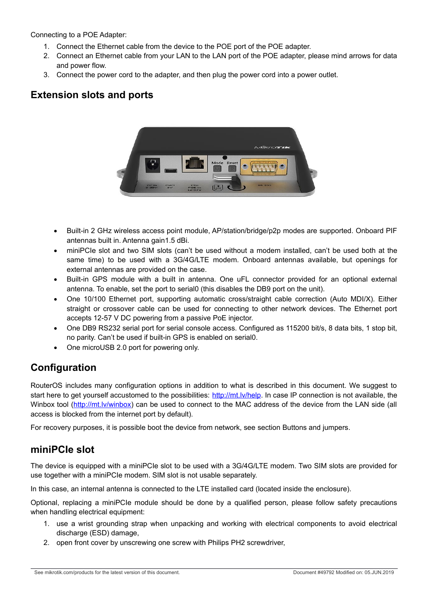Connecting to a POE Adapter:

- 1. Connect the Ethernet cable from the device to the POE port of the POE adapter.
- 2. Connect an Ethernet cable from your LAN to the LAN port of the POE adapter, please mind arrows for data and power flow.
- 3. Connect the power cord to the adapter, and then plug the power cord into a power outlet.

## **Extension slots and ports**



- Built-in 2 GHz wireless access point module, AP/station/bridge/p2p modes are supported. Onboard PIF antennas built in. Antenna gain1.5 dBi.
- miniPCIe slot and two SIM slots (can't be used without a modem installed, can't be used both at the same time) to be used with a 3G/4G/LTE modem. Onboard antennas available, but openings for external antennas are provided on the case.
- Built-in GPS module with a built in antenna. One uFL connector provided for an optional external antenna. To enable, set the port to serial0 (this disables the DB9 port on the unit).
- One 10/100 Ethernet port, supporting automatic cross/straight cable correction (Auto MDI/X). Either straight or crossover cable can be used for connecting to other network devices. The Ethernet port accepts 12-57 V DC powering from a passive PoE injector.
- One DB9 RS232 serial port for serial console access. Configured as 115200 bit/s, 8 data bits, 1 stop bit, no parity. Can't be used if built-in GPS is enabled on serial0.
- One microUSB 2.0 port for powering only.

## **Configuration**

RouterOS includes many configuration options in addition to what is described in this document. We suggest to start here to get yourself accustomed to the possibilities: [http://mt.lv/help.](http://mt.lv/help) In case IP connection is not available, the Winbox tool [\(http://mt.lv/winbox\)](http://mt.lv/winbox) can be used to connect to the MAC address of the device from the LAN side (all access is blocked from the internet port by default).

For recovery purposes, it is possible boot the device from network, see section [Buttons and jumpers.](#page-2-0)

## **miniPCIe slot**

The device is equipped with a miniPCIe slot to be used with a 3G/4G/LTE modem. Two SIM slots are provided for use together with a miniPCIe modem. SIM slot is not usable separately.

In this case, an internal antenna is connected to the LTE installed card (located inside the enclosure).

Optional, replacing a miniPCIe module should be done by a qualified person, please follow safety precautions when handling electrical equipment:

- 1. use a wrist grounding strap when unpacking and working with electrical components to avoid electrical discharge (ESD) damage.
- 2. open front cover by unscrewing one screw with Philips PH2 screwdriver,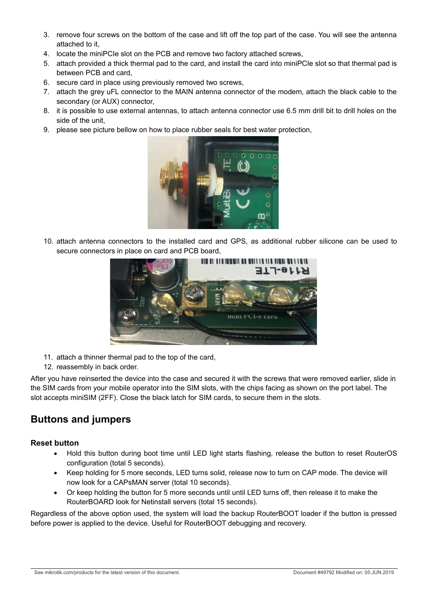- 3. remove four screws on the bottom of the case and lift off the top part of the case. You will see the antenna attached to it,
- 4. locate the miniPCIe slot on the PCB and remove two factory attached screws,
- 5. attach provided a thick thermal pad to the card, and install the card into miniPCIe slot so that thermal pad is between PCB and card,
- 6. secure card in place using previously removed two screws,
- 7. attach the grey uFL connector to the MAIN antenna connector of the modem, attach the black cable to the secondary (or AUX) connector,
- 8. it is possible to use external antennas, to attach antenna connector use 6.5 mm drill bit to drill holes on the side of the unit,
- 9. please see picture bellow on how to place rubber seals for best water protection,



10. attach antenna connectors to the installed card and GPS, as additional rubber silicone can be used to secure connectors in place on card and PCB board,



- 11. attach a thinner thermal pad to the top of the card,
- 12. reassembly in back order.

After you have reinserted the device into the case and secured it with the screws that were removed earlier, slide in the SIM cards from your mobile operator into the SIM slots, with the chips facing as shown on the port label. The slot accepts miniSIM (2FF). Close the black latch for SIM cards, to secure them in the slots.

## <span id="page-2-0"></span>**Buttons and jumpers**

#### **Reset button**

- Hold this button during boot time until LED light starts flashing, release the button to reset RouterOS configuration (total 5 seconds).
- Keep holding for 5 more seconds, LED turns solid, release now to turn on CAP mode. The device will now look for a CAPsMAN server (total 10 seconds).
- Or keep holding the button for 5 more seconds until until LED turns off, then release it to make the RouterBOARD look for Netinstall servers (total 15 seconds).

Regardless of the above option used, the system will load the backup RouterBOOT loader if the button is pressed before power is applied to the device. Useful for RouterBOOT debugging and recovery.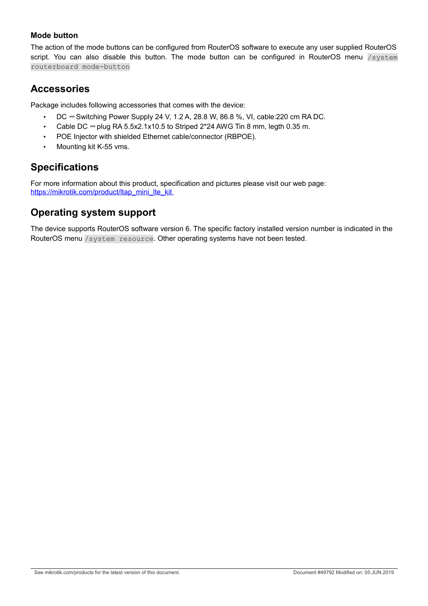#### **Mode button**

The action of the mode buttons can be configured from RouterOS software to execute any user supplied RouterOS script. You can also disable this button. The mode button can be configured in RouterOS menu /system routerboard mode-button

#### **Accessories**

Package includes following accessories that comes with the device:

- DC  $=$  Switching Power Supply 24 V, 1.2 A, 28.8 W, 86.8 %, VI, cable: 220 cm RA DC.
- Cable DC  $=$  plug RA 5.5x2.1x10.5 to Striped 2\*24 AWG Tin 8 mm, legth 0.35 m.
- POE Injector with shielded Ethernet cable/connector (RBPOE).
- Mounting kit K-55 vms.

# **Specifications**

For more information about this product, specification and pictures please visit our web page: https://mikrotik.com/product/ltap\_mini\_lte\_kit

## **Operating system support**

The device supports RouterOS software version 6. The specific factory installed version number is indicated in the RouterOS menu /system resource. Other operating systems have not been tested.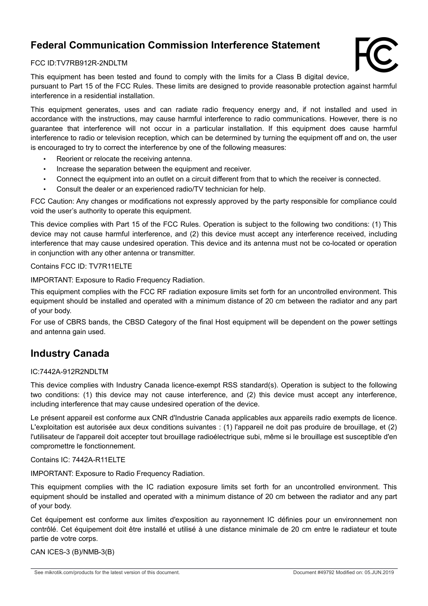## **Federal Communication Commission Interference Statement**



#### FCC ID:TV7RB912R-2NDLTM

This equipment has been tested and found to comply with the limits for a Class B digital device, pursuant to Part 15 of the FCC Rules. These limits are designed to provide reasonable protection against harmful interference in a residential installation.

This equipment generates, uses and can radiate radio frequency energy and, if not installed and used in accordance with the instructions, may cause harmful interference to radio communications. However, there is no guarantee that interference will not occur in a particular installation. If this equipment does cause harmful interference to radio or television reception, which can be determined by turning the equipment off and on, the user is encouraged to try to correct the interference by one of the following measures:

- Reorient or relocate the receiving antenna.
- Increase the separation between the equipment and receiver.
- Connect the equipment into an outlet on a circuit different from that to which the receiver is connected.
- Consult the dealer or an experienced radio/TV technician for help.

FCC Caution: Any changes or modifications not expressly approved by the party responsible for compliance could void the user's authority to operate this equipment.

This device complies with Part 15 of the FCC Rules. Operation is subject to the following two conditions: (1) This device may not cause harmful interference, and (2) this device must accept any interference received, including interference that may cause undesired operation. This device and its antenna must not be co-located or operation in conjunction with any other antenna or transmitter.

#### Contains FCC ID: TV7R11ELTE

IMPORTANT: Exposure to Radio Frequency Radiation.

This equipment complies with the FCC RF radiation exposure limits set forth for an uncontrolled environment. This equipment should be installed and operated with a minimum distance of 20 cm between the radiator and any part of your body.

For use of CBRS bands, the CBSD Category of the final Host equipment will be dependent on the power settings and antenna gain used.

#### **Industry Canada**

#### IC:7442A-912R2NDLTM

This device complies with Industry Canada licence-exempt RSS standard(s). Operation is subject to the following two conditions: (1) this device may not cause interference, and (2) this device must accept any interference, including interference that may cause undesired operation of the device.

Le présent appareil est conforme aux CNR d'Industrie Canada applicables aux appareils radio exempts de licence. L'exploitation est autorisée aux deux conditions suivantes : (1) l'appareil ne doit pas produire de brouillage, et (2) l'utilisateur de l'appareil doit accepter tout brouillage radioélectrique subi, même si le brouillage est susceptible d'en compromettre le fonctionnement.

Contains IC: 7442A-R11ELTE

IMPORTANT: Exposure to Radio Frequency Radiation.

This equipment complies with the IC radiation exposure limits set forth for an uncontrolled environment. This equipment should be installed and operated with a minimum distance of 20 cm between the radiator and any part of your body.

Cet équipement est conforme aux limites d'exposition au rayonnement IC définies pour un environnement non contrôlé. Cet équipement doit être installé et utilisé à une distance minimale de 20 cm entre le radiateur et toute partie de votre corps.

CAN ICES-3 (B)/NMB-3(B)

See mikrotik.com/products for the latest version of this document. Document #49792 Modified on: 05.JUN.2019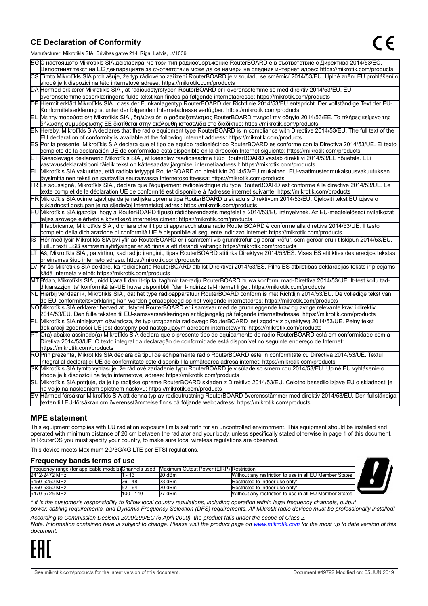#### **CE Declaration of Conformity**

Manufacturer: Mikrotikls SIA, Brivibas gatve 214i Riga, Latvia, LV1039.

|    | ividi iulaciui ci . Iviiri olinis OIA, Diivibas yatvo Z III inga, Latvia, Lv 1009                                                                                                                                                                         |
|----|-----------------------------------------------------------------------------------------------------------------------------------------------------------------------------------------------------------------------------------------------------------|
|    | ВСС настоящото Mikrotīkls SIA декларира, че този тип радиосъоръжение RouterBOARD е в съответствие с Директива 2014/53/EC.                                                                                                                                 |
|    | Цялостният текст на ЕС декларацията за съответствие може да се намери на следния интернет адрес: https://mikrotik.com/products                                                                                                                            |
|    | CS Tímto Mikrotīkls SIA prohlašuje, že typ rádiového zařízení RouterBOARD je v souladu se směrnicí 2014/53/EU. Úplné znění EU prohlášení o                                                                                                                |
|    | shodě je k dispozici na této internetové adrese: https://mikrotik.com/products                                                                                                                                                                            |
|    | DA Hermed erklærer Mikrotīkls SIA, at radioudstyrstypen RouterBOARD er i overensstemmelse med direktiv 2014/53/EU. EU-                                                                                                                                    |
|    | overensstemmelseserklæringens fulde tekst kan findes på følgende internetadresse: https://mikrotik.com/products                                                                                                                                           |
|    | DE Hiermit erklärt Mikrotīkls SIA, dass der Funkanlagentyp RouterBOARD der Richtlinie 2014/53/EU entspricht. Der vollständige Text der EU-                                                                                                                |
|    | Konformitätserklärung ist unter der folgenden Internetadresse verfügbar: https://mikrotik.com/products                                                                                                                                                    |
| ΕL | Με την παρούσα ο/η Mikrotīkls SIA, δηλώνει ότι ο ραδιοεξοπλισμός RouterBOARD πληροί την οδηγία 2014/53/ΕΕ. Το πλήρες κείμενο της<br>δήλωσης συμμόρφωσης ΕΕ διατίθεται στην ακόλουθη ιστοσελίδα στο διαδίκτυο: https://mikrotik.com/products               |
|    | EN Hereby, Mikrotīkls SIA declares that the radio equipment type RouterBOARD is in compliance with Directive 2014/53/EU. The full text of the                                                                                                             |
|    | EU declaration of conformity is available at the following internet address: https://mikrotik.com/products                                                                                                                                                |
|    | ES Por la presente, Mikrotīkls SIA declara que el tipo de equipo radioeléctrico RouterBOARD es conforme con la Directiva 2014/53/UE. El texto                                                                                                             |
|    | completo de la declaración UE de conformidad está disponible en la dirección Internet siguiente: https://mikrotik.com/products                                                                                                                            |
|    | ET Käesolevaga deklareerib Mikrotīkls SIA, et käesolev raadioseadme tüüp RouterBOARD vastab direktiivi 2014/53/EL nõuetele. ELi                                                                                                                           |
|    | vastavusdeklaratsiooni täielik tekst on kättesaadav järgmisel internetiaadressil: https://mikrotik.com/products                                                                                                                                           |
|    | Mikrotīkls SIA vakuuttaa, että radiolaitetyyppi RouterBOARD on direktiivin 2014/53/EU mukainen. EU-vaatimustenmukaisuusvakuutuksen                                                                                                                        |
|    | täysimittainen teksti on saatavilla seuraavassa internetosoitteessa: https://mikrotik.com/products                                                                                                                                                        |
|    | FR Le soussigné, Mikrotīkls SIA , déclare que l'équipement radioélectrique du type RouterBOARD est conforme à la directive 2014/53/UE. Le                                                                                                                 |
|    | texte complet de la déclaration UE de conformité est disponible à l'adresse internet suivante: https://mikrotik.com/products                                                                                                                              |
|    | HR Mikrotīkls SIA ovime izjavljuje da je radijska oprema tipa RouterBOARD u skladu s Direktivom 2014/53/EU. Cjeloviti tekst EU izjave o                                                                                                                   |
|    | sukladnosti dostupan je na sljedećoj internetskoj adresi: https://mikrotik.com/products                                                                                                                                                                   |
|    | HU Mikrotīkls SIA igazolja, hogy a RouterBOARD típusú rádióberendezés megfelel a 2014/53/EU irányelvnek. Az EU-megfelelőségi nyilatkozat                                                                                                                  |
|    | teljes szövege elérhető a következő internetes címen: https://mikrotik.com/products                                                                                                                                                                       |
| lΤ | Il fabbricante, Mikrotīkls SIA, dichiara che il tipo di apparecchiatura radio RouterBOARD è conforme alla direttiva 2014/53/UE. Il testo                                                                                                                  |
|    | completo della dichiarazione di conformità UE è disponibile al seguente indirizzo Internet: https://mikrotik.com/products                                                                                                                                 |
| IS | Hér með lýsir Mikrotīkls SIA því yfir að RouterBOARD er í samræmi við grunnkröfur og aðrar kröfur, sem gerðar eru í tilskipun 2014/53/EU.                                                                                                                 |
|    | Fullur texti ESB samræmisyfirlýsingar er að finna á eftirfarandi veffangi: https://mikrotik.com/products                                                                                                                                                  |
| LТ | Aš, Mikrotīkls SIA, patvirtinu, kad radijo įrenginių tipas RouterBOARD atitinka Direktyvą 2014/53/ES. Visas ES atitikties deklaracijos tekstas                                                                                                            |
|    | prieinamas šiuo interneto adresu: https://mikrotik.com/products                                                                                                                                                                                           |
|    | Ar šo Mikrotīkls SIA deklarē, ka radioiekārta RouterBOARD atbilst Direktīvai 2014/53/ES. Pilns ES atbilstības deklarācijas teksts ir pieejams                                                                                                             |
|    | šādā interneta vietnē: https://mikrotik.com/products                                                                                                                                                                                                      |
|    | MT B'dan, Mikrotīkls SIA , niddikjara li dan it-tip ta' tagħmir tar-radju RouterBOARD huwa konformi mad-Direttiva 2014/53/UE. It-test kollu tad-                                                                                                          |
|    | dikjarazzjoni ta' konformità tal-UE huwa disponibbli f'dan l-indirizz tal-Internet li ġej: https://mikrotik.com/products                                                                                                                                  |
|    | NL  Hierbij verklaar ik, Mikrotīkls SIA , dat het type radioapparatuur RouterBOARD conform is met Richtlijn 2014/53/EU. De volledige tekst van                                                                                                            |
|    | de EU-conformiteitsverklaring kan worden geraadpleegd op het volgende internetadres: https://mikrotik.com/products<br>NOMikrotīkls SIA erklærer herved at utstyret RouterBOARD er i samsvar med de grunnleggende krav og øvrige relevante krav i direktiv |
|    | 2014/53/EU. Den fulle teksten til EU-samsvarserklæringen er tilgjengelig på følgende internettadresse: https://mikrotik.com/products                                                                                                                      |
|    | Mikrotīkls SIA niniejszym oświadcza, że typ urządzenia radiowego RouterBOARD jest zgodny z dyrektywą 2014/53/UE. Pełny tekst                                                                                                                              |
|    | deklaracji zgodności UE jest dostępny pod następującym adresem internetowym: https://mikrotik.com/products                                                                                                                                                |
|    | PT O(a) abaixo assinado(a) Mikrotīkls SIA declara que o presente tipo de equipamento de rádio RouterBOARD está em conformidade com a                                                                                                                      |
|    | Diretiva 2014/53/UE. O texto integral da declaração de conformidade está disponível no seguinte endereço de Internet:                                                                                                                                     |
|    | https://mikrotik.com/products                                                                                                                                                                                                                             |
|    | ROPrin prezenta, Mikrotīkls SIA declară că tipul de echipamente radio RouterBOARD este în conformitate cu Directiva 2014/53/UE. Textul                                                                                                                    |
|    | integral al declaratiei UE de conformitate este disponibil la următoarea adresă internet: https://mikrotik.com/products                                                                                                                                   |
|    | SK Mikrotīkls SIA týmto vyhlasuje, že rádiové zariadenie typu RouterBOARD je v súlade so smernicou 2014/53/EÚ. Úplné EÚ vyhlásenie o                                                                                                                      |
|    | zhode je k dispozícii na tejto internetovej adrese: https://mikrotik.com/products                                                                                                                                                                         |
|    | SL Mikrotīkls SIA potrjuje, da je tip radijske opreme RouterBOARD skladen z Direktivo 2014/53/EU. Celotno besedilo izjave EU o skladnosti je                                                                                                              |
|    | na voljo na naslednjem spletnem naslovu: https://mikrotik.com/products                                                                                                                                                                                    |
|    | SV Härmed försäkrar Mikrotīkls SIA att denna typ av radioutrustning RouterBOARD överensstämmer med direktiv 2014/53/EU. Den fullständiga                                                                                                                  |
|    | texten till EU-försäkran om överensstämmelse finns på följande webbadress: https://mikrotik.com/products                                                                                                                                                  |

#### **MPE statement**

This equipment complies with EU radiation exposure limits set forth for an uncontrolled environment. This equipment should be installed and operated with minimum distance of 20 cm between the radiator and your body, unless specifically stated otherwise in page 1 of this document. In RouterOS you must specify your country, to make sure local wireless regulations are observed.

This device meets Maximum 2G/3G/4G LTE per ETSI regulations.

#### **Frequency bands terms of use**

| <b>Treduction</b> ballus terms of use                 |            |                                         |                                                        |  |  |
|-------------------------------------------------------|------------|-----------------------------------------|--------------------------------------------------------|--|--|
| Frequency range (for applicable models) Channels used |            | Maximum Output Power (EIRP) Restriction |                                                        |  |  |
| 2412-2472 MHz                                         | - 13       | $20$ dBm                                | Without any restriction to use in all EU Member States |  |  |
| 5150-5250 MHz                                         | 26 - 48    | 23 dBm                                  | Restricted to indoor use only*                         |  |  |
| 5250-5350 MHz                                         | $52 - 64$  | 20 dBm                                  | Restricted to indoor use only*                         |  |  |
| 5470-5725 MHz                                         | 1100 - 140 | 27 dBm                                  | Without any restriction to use in all EU Member States |  |  |



*\* It is the customer's responsibility to follow local country regulations, including operation within legal frequency channels, output*

*power, cabling requirements, and Dynamic Frequency Selection (DFS) requirements. All Mikrotik radio devices must be professionally installed! According to Commission Decision 2000/299/EC (6 April 2000), the product falls under the scope of Class 2.*

*Note. Information contained here is subject to change. Please visit the product page on [www.mikrotik.com](http://www.mikrotik.com/) for the most up to date version of this document.*